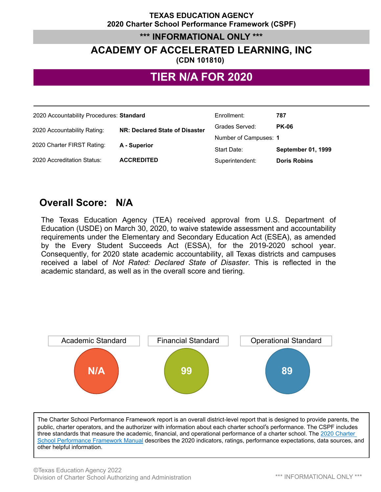#### **TEXAS EDUCATION AGENCY 2020 Charter School Performance Framework (CSPF)**

#### **\*\*\* INFORMATIONAL ONLY \*\*\***

# **ACADEMY OF ACCELERATED LEARNING, INC**

#### **(CDN 101810)**

## **TIER N/A FOR 2020**

| 2020 Accountability Procedures: Standard |                                | Enrollment:           | 787                       |
|------------------------------------------|--------------------------------|-----------------------|---------------------------|
| 2020 Accountability Rating:              | NR: Declared State of Disaster | Grades Served:        | <b>PK-06</b>              |
|                                          | A - Superior                   | Number of Campuses: 1 |                           |
| 2020 Charter FIRST Rating:               |                                | Start Date:           | <b>September 01, 1999</b> |
| 2020 Accreditation Status:               | <b>ACCREDITED</b>              | Superintendent:       | <b>Doris Robins</b>       |

## **Overall Score: N/A**

The Texas Education Agency (TEA) received approval from U.S. Department of Education (USDE) on March 30, 2020, to waive statewide assessment and accountability requirements under the Elementary and Secondary Education Act (ESEA), as amended by the Every Student Succeeds Act (ESSA), for the 2019-2020 school year. Consequently, for 2020 state academic accountability, all Texas districts and campuses received a label of *Not Rated: Declared State of Disaster*. This is reflected in the academic standard, as well as in the overall score and tiering.



The Charter School Performance Framework report is an overall district-level report that is designed to provide parents, the public, charter operators, and the authorizer with information about each charter school's performance. The CSPF includes three standards that measure the academic, financial, and operational performance of a charter school. The 2020 Charter School Performance Framework Manual describes the 2020 indicators, ratings, performance expectations, data sources, and other helpful information.